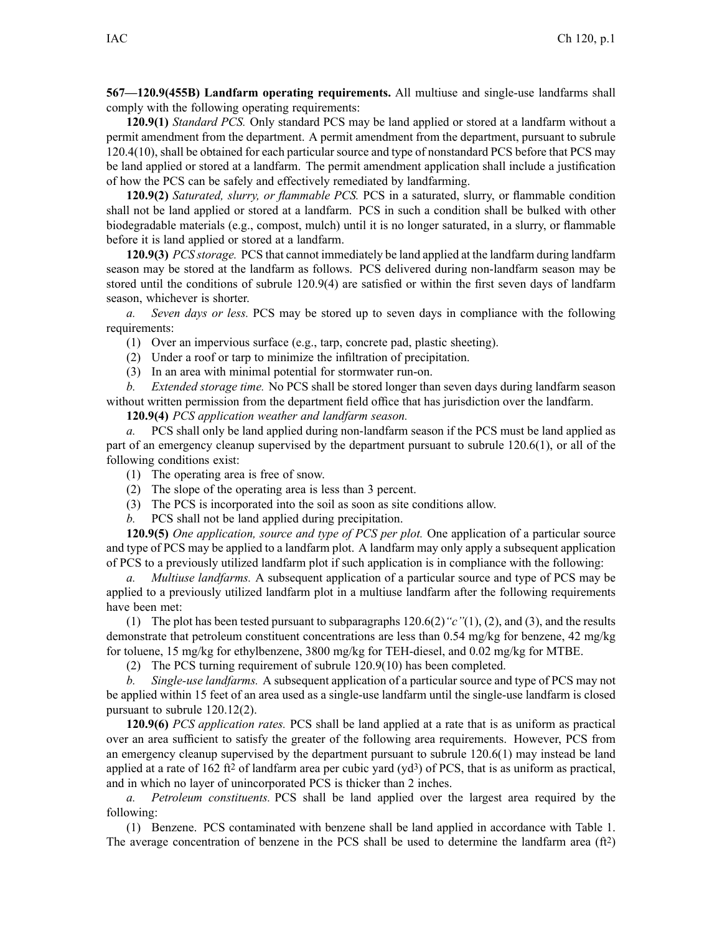**567—120.9(455B) Landfarm operating requirements.** All multiuse and single-use landfarms shall comply with the following operating requirements:

**120.9(1)** *Standard PCS.* Only standard PCS may be land applied or stored at <sup>a</sup> landfarm without <sup>a</sup> permit amendment from the department. A permit amendment from the department, pursuan<sup>t</sup> to subrule 120.4(10), shall be obtained for each particular source and type of nonstandard PCS before that PCS may be land applied or stored at <sup>a</sup> landfarm. The permit amendment application shall include <sup>a</sup> justification of how the PCS can be safely and effectively remediated by landfarming.

**120.9(2)** *Saturated, slurry, or flammable PCS.* PCS in <sup>a</sup> saturated, slurry, or flammable condition shall not be land applied or stored at <sup>a</sup> landfarm. PCS in such <sup>a</sup> condition shall be bulked with other biodegradable materials (e.g., compost, mulch) until it is no longer saturated, in <sup>a</sup> slurry, or flammable before it is land applied or stored at <sup>a</sup> landfarm.

**120.9(3)** *PCS storage.* PCS that cannot immediately be land applied at the landfarm during landfarm season may be stored at the landfarm as follows. PCS delivered during non-landfarm season may be stored until the conditions of subrule 120.9(4) are satisfied or within the first seven days of landfarm season, whichever is shorter.

*a. Seven days or less.* PCS may be stored up to seven days in compliance with the following requirements:

- (1) Over an impervious surface (e.g., tarp, concrete pad, plastic sheeting).
- (2) Under <sup>a</sup> roof or tarp to minimize the infiltration of precipitation.
- (3) In an area with minimal potential for stormwater run-on.

*b. Extended storage time.* No PCS shall be stored longer than seven days during landfarm season without written permission from the department field office that has jurisdiction over the landfarm.

**120.9(4)** *PCS application weather and landfarm season.*

*a.* PCS shall only be land applied during non-landfarm season if the PCS must be land applied as par<sup>t</sup> of an emergency cleanup supervised by the department pursuan<sup>t</sup> to subrule 120.6(1), or all of the following conditions exist:

- (1) The operating area is free of snow.
- (2) The slope of the operating area is less than 3 percent.
- (3) The PCS is incorporated into the soil as soon as site conditions allow.
- *b.* PCS shall not be land applied during precipitation.

**120.9(5)** *One application, source and type of PCS per plot.* One application of <sup>a</sup> particular source and type of PCS may be applied to <sup>a</sup> landfarm plot. A landfarm may only apply <sup>a</sup> subsequent application of PCS to <sup>a</sup> previously utilized landfarm plot if such application is in compliance with the following:

*a. Multiuse landfarms.* A subsequent application of <sup>a</sup> particular source and type of PCS may be applied to <sup>a</sup> previously utilized landfarm plot in <sup>a</sup> multiuse landfarm after the following requirements have been met:

(1) The plot has been tested pursuan<sup>t</sup> to subparagraphs 120.6(2)*"c"*(1), (2), and (3), and the results demonstrate that petroleum constituent concentrations are less than 0.54 mg/kg for benzene, 42 mg/kg for toluene, 15 mg/kg for ethylbenzene, 3800 mg/kg for TEH-diesel, and 0.02 mg/kg for MTBE.

(2) The PCS turning requirement of subrule 120.9(10) has been completed.

*b. Single-use landfarms.* A subsequent application of <sup>a</sup> particular source and type of PCS may not be applied within 15 feet of an area used as <sup>a</sup> single-use landfarm until the single-use landfarm is closed pursuan<sup>t</sup> to subrule 120.12(2).

**120.9(6)** *PCS application rates.* PCS shall be land applied at <sup>a</sup> rate that is as uniform as practical over an area sufficient to satisfy the greater of the following area requirements. However, PCS from an emergency cleanup supervised by the department pursuan<sup>t</sup> to subrule 120.6(1) may instead be land applied at a rate of 162 ft<sup>2</sup> of landfarm area per cubic yard  $(yd<sup>3</sup>)$  of PCS, that is as uniform as practical, and in which no layer of unincorporated PCS is thicker than 2 inches.

*a. Petroleum constituents.* PCS shall be land applied over the largest area required by the following:

(1) Benzene. PCS contaminated with benzene shall be land applied in accordance with Table 1. The average concentration of benzene in the PCS shall be used to determine the landfarm area  $(f<sup>2</sup>)$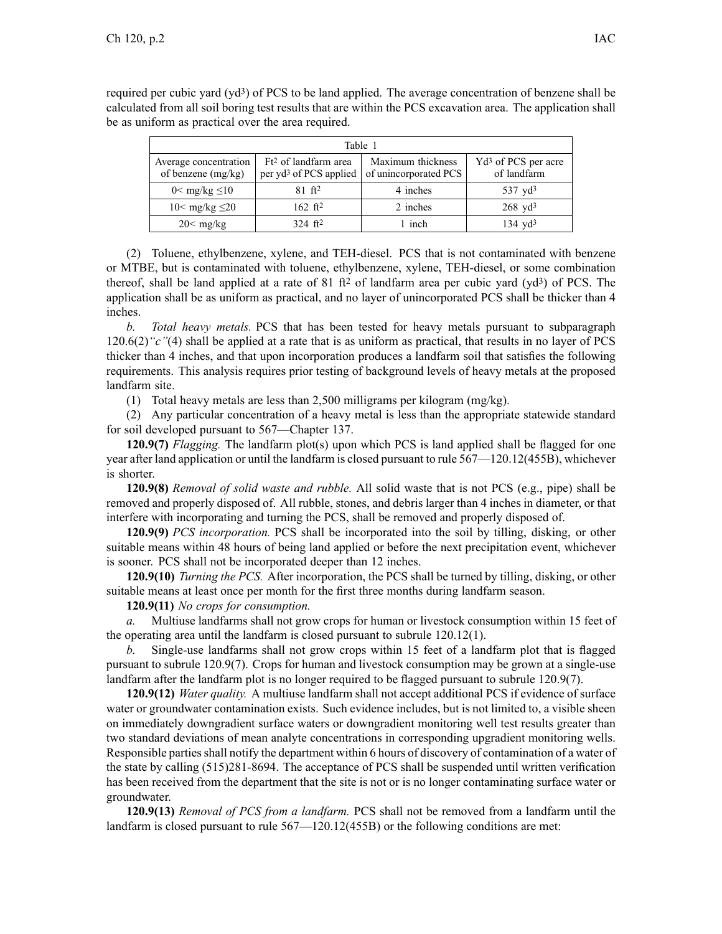required per cubic yard (yd<sup>3</sup>) of PCS to be land applied. The average concentration of benzene shall be calculated from all soil boring test results that are within the PCS excavation area. The application shall be as uniform as practical over the area required.

| Table 1                                     |                                                                        |                                            |                                                |
|---------------------------------------------|------------------------------------------------------------------------|--------------------------------------------|------------------------------------------------|
| Average concentration<br>of benzene (mg/kg) | Ft <sup>2</sup> of landfarm area<br>per yd <sup>3</sup> of PCS applied | Maximum thickness<br>of unincorporated PCS | Yd <sup>3</sup> of PCS per acre<br>of landfarm |
| $0 < \text{mg/kg} \leq 10$                  | $81 \text{ ft}^2$                                                      | 4 inches                                   | $537 \text{ yd}^3$                             |
| $10<$ mg/kg $\leq$ 20                       | 162 $ft^2$                                                             | 2 inches                                   | $268 \text{ yd}^3$                             |
| $20 < \text{mg/kg}$                         | $324$ ft <sup>2</sup>                                                  | 1 inch                                     | $134 \text{ vd}^3$                             |

(2) Toluene, ethylbenzene, xylene, and TEH-diesel. PCS that is not contaminated with benzene or MTBE, but is contaminated with toluene, ethylbenzene, xylene, TEH-diesel, or some combination thereof, shall be land applied at a rate of 81  $\text{ft}^2$  of landfarm area per cubic yard (yd<sup>3</sup>) of PCS. The application shall be as uniform as practical, and no layer of unincorporated PCS shall be thicker than 4 inches.

*b. Total heavy metals.* PCS that has been tested for heavy metals pursuan<sup>t</sup> to subparagraph 120.6(2)*"c"*(4) shall be applied at <sup>a</sup> rate that is as uniform as practical, that results in no layer of PCS thicker than 4 inches, and that upon incorporation produces <sup>a</sup> landfarm soil that satisfies the following requirements. This analysis requires prior testing of background levels of heavy metals at the proposed landfarm site.

(1) Total heavy metals are less than 2,500 milligrams per kilogram (mg/kg).

(2) Any particular concentration of <sup>a</sup> heavy metal is less than the appropriate statewide standard for soil developed pursuan<sup>t</sup> to 567—Chapter 137.

**120.9(7)** *Flagging.* The landfarm plot(s) upon which PCS is land applied shall be flagged for one year after land application or until the landfarm is closed pursuan<sup>t</sup> to rule 567—120.12(455B), whichever is shorter.

**120.9(8)** *Removal of solid waste and rubble.* All solid waste that is not PCS (e.g., pipe) shall be removed and properly disposed of. All rubble, stones, and debris larger than 4 inches in diameter, or that interfere with incorporating and turning the PCS, shall be removed and properly disposed of.

**120.9(9)** *PCS incorporation.* PCS shall be incorporated into the soil by tilling, disking, or other suitable means within 48 hours of being land applied or before the next precipitation event, whichever is sooner. PCS shall not be incorporated deeper than 12 inches.

**120.9(10)** *Turning the PCS.* After incorporation, the PCS shall be turned by tilling, disking, or other suitable means at least once per month for the first three months during landfarm season.

**120.9(11)** *No crops for consumption.*

*a.* Multiuse landfarms shall not grow crops for human or livestock consumption within 15 feet of the operating area until the landfarm is closed pursuan<sup>t</sup> to subrule 120.12(1).

*b.* Single-use landfarms shall not grow crops within 15 feet of <sup>a</sup> landfarm plot that is flagged pursuan<sup>t</sup> to subrule 120.9(7). Crops for human and livestock consumption may be grown at <sup>a</sup> single-use landfarm after the landfarm plot is no longer required to be flagged pursuan<sup>t</sup> to subrule 120.9(7).

**120.9(12)** *Water quality.* A multiuse landfarm shall not accep<sup>t</sup> additional PCS if evidence of surface water or groundwater contamination exists. Such evidence includes, but is not limited to, <sup>a</sup> visible sheen on immediately downgradient surface waters or downgradient monitoring well test results greater than two standard deviations of mean analyte concentrations in corresponding upgradient monitoring wells. Responsible parties shall notify the department within 6 hours of discovery of contamination of a water of the state by calling (515)281-8694. The acceptance of PCS shall be suspended until written verification has been received from the department that the site is not or is no longer contaminating surface water or groundwater.

**120.9(13)** *Removal of PCS from <sup>a</sup> landfarm.* PCS shall not be removed from <sup>a</sup> landfarm until the landfarm is closed pursuan<sup>t</sup> to rule 567—120.12(455B) or the following conditions are met: